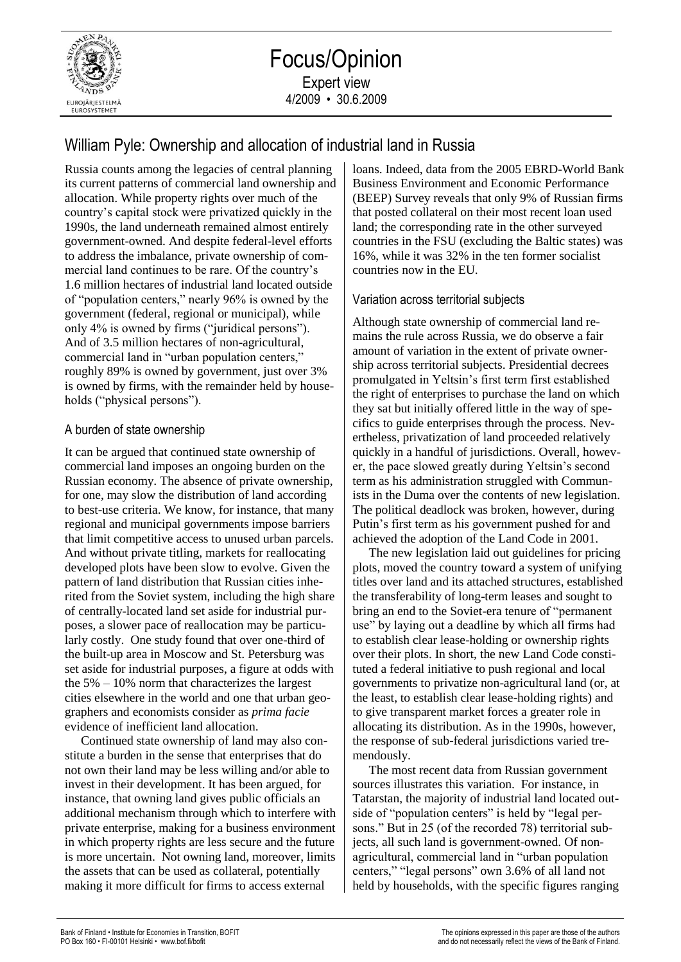

## William Pyle: Ownership and allocation of industrial land in Russia

Russia counts among the legacies of central planning its current patterns of commercial land ownership and allocation. While property rights over much of the country's capital stock were privatized quickly in the 1990s, the land underneath remained almost entirely government-owned. And despite federal-level efforts to address the imbalance, private ownership of commercial land continues to be rare. Of the country's 1.6 million hectares of industrial land located outside of "population centers," nearly 96% is owned by the government (federal, regional or municipal), while only 4% is owned by firms ("juridical persons"). And of 3.5 million hectares of non-agricultural, commercial land in "urban population centers," roughly 89% is owned by government, just over 3% is owned by firms, with the remainder held by households ("physical persons").

## A burden of state ownership

It can be argued that continued state ownership of commercial land imposes an ongoing burden on the Russian economy. The absence of private ownership, for one, may slow the distribution of land according to best-use criteria. We know, for instance, that many regional and municipal governments impose barriers that limit competitive access to unused urban parcels. And without private titling, markets for reallocating developed plots have been slow to evolve. Given the pattern of land distribution that Russian cities inherited from the Soviet system, including the high share of centrally-located land set aside for industrial purposes, a slower pace of reallocation may be particularly costly. One study found that over one-third of the built-up area in Moscow and St. Petersburg was set aside for industrial purposes, a figure at odds with the 5% – 10% norm that characterizes the largest cities elsewhere in the world and one that urban geographers and economists consider as *prima facie* evidence of inefficient land allocation.

Continued state ownership of land may also constitute a burden in the sense that enterprises that do not own their land may be less willing and/or able to invest in their development. It has been argued, for instance, that owning land gives public officials an additional mechanism through which to interfere with private enterprise, making for a business environment in which property rights are less secure and the future is more uncertain. Not owning land, moreover, limits the assets that can be used as collateral, potentially making it more difficult for firms to access external

loans. Indeed, data from the 2005 EBRD-World Bank Business Environment and Economic Performance (BEEP) Survey reveals that only 9% of Russian firms that posted collateral on their most recent loan used land; the corresponding rate in the other surveyed countries in the FSU (excluding the Baltic states) was 16%, while it was 32% in the ten former socialist countries now in the EU.

## Variation across territorial subjects

Although state ownership of commercial land remains the rule across Russia, we do observe a fair amount of variation in the extent of private ownership across territorial subjects. Presidential decrees promulgated in Yeltsin's first term first established the right of enterprises to purchase the land on which they sat but initially offered little in the way of specifics to guide enterprises through the process. Nevertheless, privatization of land proceeded relatively quickly in a handful of jurisdictions. Overall, however, the pace slowed greatly during Yeltsin's second term as his administration struggled with Communists in the Duma over the contents of new legislation. The political deadlock was broken, however, during Putin's first term as his government pushed for and achieved the adoption of the Land Code in 2001.

The new legislation laid out guidelines for pricing plots, moved the country toward a system of unifying titles over land and its attached structures, established the transferability of long-term leases and sought to bring an end to the Soviet-era tenure of "permanent use" by laying out a deadline by which all firms had to establish clear lease-holding or ownership rights over their plots. In short, the new Land Code constituted a federal initiative to push regional and local governments to privatize non-agricultural land (or, at the least, to establish clear lease-holding rights) and to give transparent market forces a greater role in allocating its distribution. As in the 1990s, however, the response of sub-federal jurisdictions varied tremendously.

The most recent data from Russian government sources illustrates this variation. For instance, in Tatarstan, the majority of industrial land located outside of "population centers" is held by "legal persons." But in 25 (of the recorded 78) territorial subjects, all such land is government-owned. Of nonagricultural, commercial land in "urban population centers," "legal persons" own 3.6% of all land not held by households, with the specific figures ranging